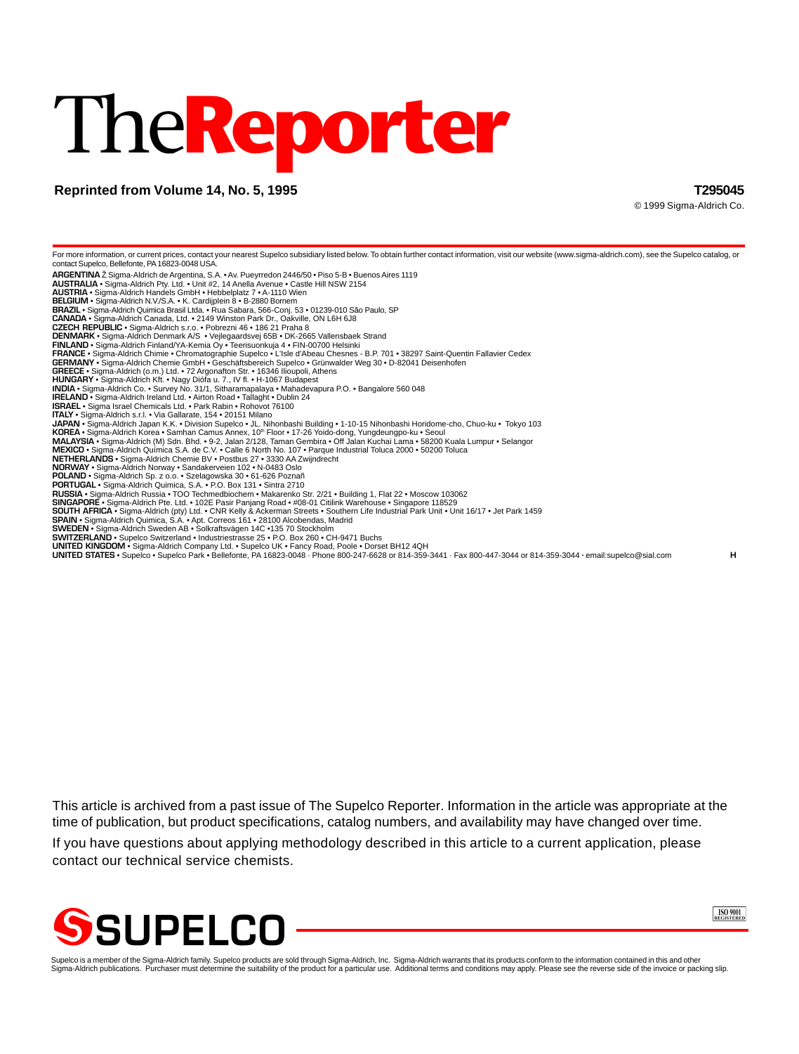# The**Reporter**

# **Reprinted from Volume 14, No. 5, 1995 T295045**

© 1999 Sigma-Aldrich Co.

For more information, or current prices, contact your nearest Supelco subsidiary listed below. To obtain further contact information, visit our website (www.sigma-aldrich.com), see the Supelco catalog, or contact Supelco, Bellefonte, PA 16823-0048 USA. **ARGENTINA** Ž Sigma-Aldrich de Argentina, S.A. • Av. Pueyrredon 2446/50 • Piso 5-B • Buenos Aires 1119 **AUSTRALIA** • Sigma-Aldrich Pty. Ltd. • Unit #2, 14 Anella Avenue • Castle Hill NSW 2154 **AUSTRIA** • Sigma-Aldrich Handels GmbH • Hebbelplatz 7 • A-1110 Wien **BELGIUM** • Sigma-Aldrich N.V./S.A. • K. Cardijplein 8 • B-2880 Bornem **BRAZIL** • Sigma-Aldrich Quimica Brasil Ltda. • Rua Sabara, 566-Conj. 53 • 01239-010 São Paulo, SP **CANADA** • Sigma-Aldrich Canada, Ltd. • 2149 Winston Park Dr., Oakville, ON L6H 6J8 **CZECH REPUBLIC** • Sigma-Aldrich s.r.o. • Pobrezni 46 • 186 21 Praha 8 **DENMARK** • Sigma-Aldrich Denmark A/S • Vejlegaardsvej 65B • DK-2665 Vallensbaek Strand **FINLAND •** Sigma-Aldrich Finland/YA-Kemia Oy • Teerisuonkuja 4 • FIN-00700 Helsinki<br>**FRANCE •** Sigma-Aldrich Chimie • Chromatographie Supelco • L'Isle d'Abeau Chesnes - B.P. 701 • 38297 Saint-Quentin Fallavier Cedex<br>**GER GREECE** • Sigma-Aldrich (o.m.) Ltd. • 72 Argonafton Str. • 16346 Ilioupoli, Athens **HUNGARY** • Sigma-Aldrich Kft. • Nagy Diófa u. 7., IV fl. • H-1067 Budapest **INDIA •** Sigma-Aldrich Co. • Survey No. 31/1, Sitharamapalaya • Mahadevapura P.O. • Bangalore 560 048<br>I**RELAND •** Sigma-Aldrich Ireland Ltd. • Airton Road • Tallaght • Dublin 24<br>**ISRAEL •** Sigma Israel Chemicals Ltd. • P **ITALY** • Sigma-Aldrich s.r.l. • Via Gallarate, 154 • 20151 Milano **JAPAN •** Sigma-Aldrich Japan K.K. • Division Supelco • JL. Nihonbashi Building • 1-10-15 Nihonbashi Horidome-cho, Chuo-ku • Tokyo 103<br>**KOREA •** Sigma-Aldrich Korea • Samhan Camus Annex, 10‴ Floor • 17-26 Yoido-dong, Yung **POLAND** • Sigma-Aldrich Sp. z o.o. • Szelagowska 30 • 61-626 Poznañ **PORTUGAL** • Sigma-Aldrich Quimica, S.A. • P.O. Box 131 • Sintra 2710 **RUSSIA •** Sigma-Aldrich Russia • TOO Techmedbiochem • Makarenko Str. 2/21 • Building 1, Flat 22 • Moscow 103062<br>S**INGAPORE •** Sigma-Aldrich Pte. Ltd. • 102E Pasir Panjang Road • #08-01 Citilink Warehouse • Singapore 1185 **SWEDEN •** Sigma-Aldrich Sweden AB • Solkraftsvägen 14C •135 70 Stockholm<br>**SWITZERLAND •** Supelco Switzerland • Industriestrasse 25 • P.O. Box 260 • CH-9471 Buchs **UNITED KINGDOM •** Sigma-Aldrich Company Ltd. • Supelco UK • Fancy Road, Poole • Dorset BH12 4QH<br>**UNITED STATES •** Supelco • Supelco Park • Bellefonte, PA 16823-0048 · Phone 800-247-6628 or 814-359-3441 · Fax 800-447-3044

This article is archived from a past issue of The Supelco Reporter. Information in the article was appropriate at the time of publication, but product specifications, catalog numbers, and availability may have changed over time.

If you have questions about applying methodology described in this article to a current application, please contact our technical service chemists.





Supelco is a member of the Sigma-Aldrich family. Supelco products are sold through Sigma-Aldrich, Inc. Sigma-Aldrich warrants that its products conform to the information contained in this and other<br>Sigma-Aldrich publicati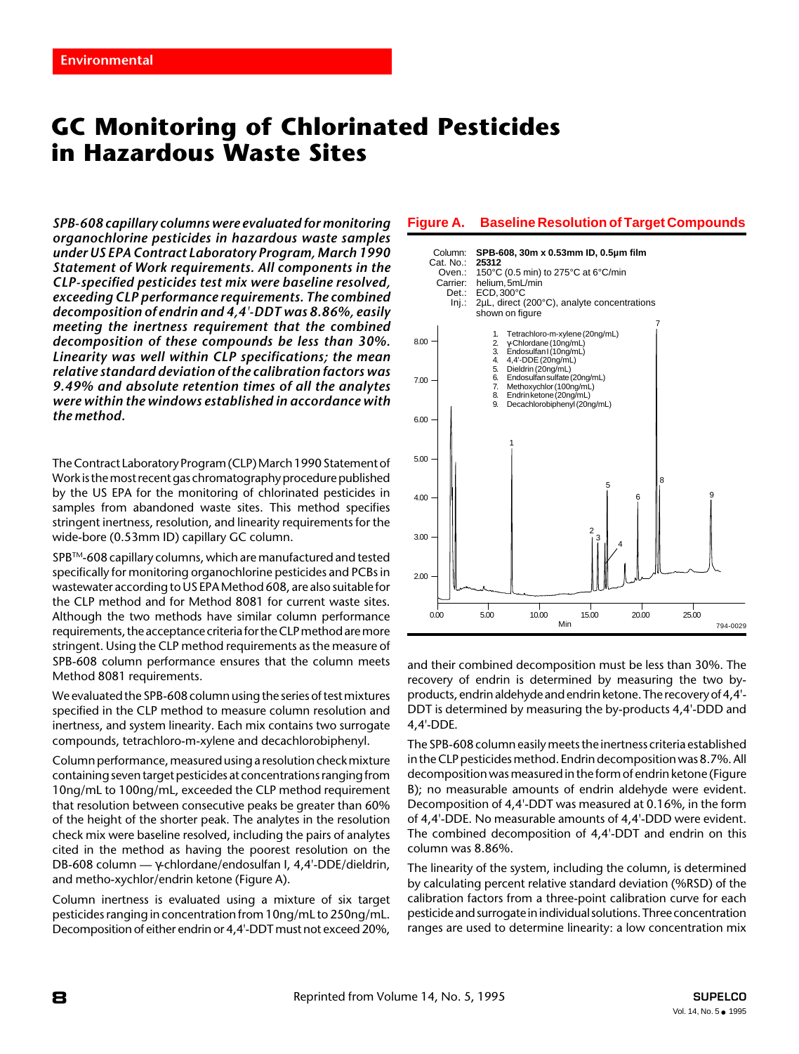# **GC Monitoring of Chlorinated Pesticides in Hazardous Waste Sites**

*SPB-608 capillary columns were evaluated for monitoring organochlorine pesticides in hazardous waste samples under US EPA Contract Laboratory Program, March 1990 Statement of Work requirements. All components in the CLP-specified pesticides test mix were baseline resolved, exceeding CLP performance requirements. The combined decomposition of endrin and 4,4'-DDT was 8.86%, easily meeting the inertness requirement that the combined decomposition of these compounds be less than 30%. Linearity was well within CLP specifications; the mean relative standard deviation of the calibration factors was 9.49% and absolute retention times of all the analytes were within the windows established in accordance with the method.*

The Contract Laboratory Program (CLP) March 1990 Statement of Work is the most recent gas chromatography procedure published by the US EPA for the monitoring of chlorinated pesticides in samples from abandoned waste sites. This method specifies stringent inertness, resolution, and linearity requirements for the wide-bore (0.53mm ID) capillary GC column.

SPB™-608 capillary columns, which are manufactured and tested specifically for monitoring organochlorine pesticides and PCBs in wastewater according to US EPA Method 608, are also suitable for the CLP method and for Method 8081 for current waste sites. Although the two methods have similar column performance requirements, the acceptance criteria for the CLP method are more stringent. Using the CLP method requirements as the measure of SPB-608 column performance ensures that the column meets Method 8081 requirements.

We evaluated the SPB-608 column using the series of test mixtures specified in the CLP method to measure column resolution and inertness, and system linearity. Each mix contains two surrogate compounds, tetrachloro-m-xylene and decachlorobiphenyl.

Column performance, measured using a resolution check mixture containing seven target pesticides at concentrations ranging from 10ng/mL to 100ng/mL, exceeded the CLP method requirement that resolution between consecutive peaks be greater than 60% of the height of the shorter peak. The analytes in the resolution check mix were baseline resolved, including the pairs of analytes cited in the method as having the poorest resolution on the DB-608 column — γ-chlordane/endosulfan I, 4,4'-DDE/dieldrin, and metho-xychlor/endrin ketone (Figure A).

Column inertness is evaluated using a mixture of six target pesticides ranging in concentration from 10ng/mL to 250ng/mL. Decomposition of either endrin or 4,4'-DDT must not exceed 20%,

# **Figure A. Baseline Resolution of Target Compounds**



and their combined decomposition must be less than 30%. The recovery of endrin is determined by measuring the two byproducts, endrin aldehyde and endrin ketone. The recovery of 4,4'- DDT is determined by measuring the by-products 4,4'-DDD and 4,4'-DDE.

The SPB-608 column easily meets the inertness criteria established in the CLP pesticides method. Endrin decomposition was 8.7%. All decomposition was measured in the form of endrin ketone (Figure B); no measurable amounts of endrin aldehyde were evident. Decomposition of 4,4'-DDT was measured at 0.16%, in the form of 4,4'-DDE. No measurable amounts of 4,4'-DDD were evident. The combined decomposition of 4,4'-DDT and endrin on this column was 8.86%.

The linearity of the system, including the column, is determined by calculating percent relative standard deviation (%RSD) of the calibration factors from a three-point calibration curve for each pesticide and surrogate in individual solutions. Three concentration ranges are used to determine linearity: a low concentration mix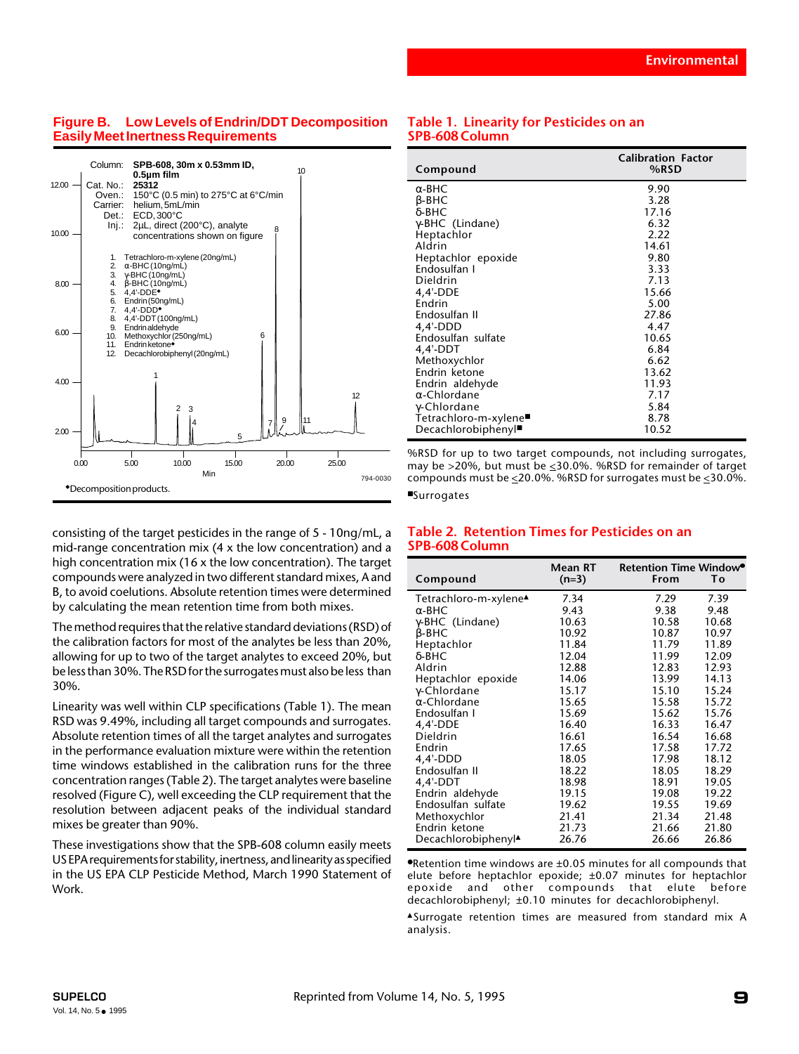# **Figure B. Low Levels of Endrin/DDT Decomposition Easily Meet Inertness Requirements**



consisting of the target pesticides in the range of 5 - 10ng/mL, a mid-range concentration mix (4 x the low concentration) and a high concentration mix (16 x the low concentration). The target compounds were analyzed in two different standard mixes, A and B, to avoid coelutions. Absolute retention times were determined by calculating the mean retention time from both mixes.

The method requires that the relative standard deviations (RSD) of the calibration factors for most of the analytes be less than 20%, allowing for up to two of the target analytes to exceed 20%, but be less than 30%. The RSD for the surrogates must also be less than 30%.

Linearity was well within CLP specifications (Table 1). The mean RSD was 9.49%, including all target compounds and surrogates. Absolute retention times of all the target analytes and surrogates in the performance evaluation mixture were within the retention time windows established in the calibration runs for the three concentration ranges (Table 2). The target analytes were baseline resolved (Figure C), well exceeding the CLP requirement that the resolution between adjacent peaks of the individual standard mixes be greater than 90%.

These investigations show that the SPB-608 column easily meets US EPA requirements for stability, inertness, and linearity as specified in the US EPA CLP Pesticide Method, March 1990 Statement of Work.

# **Table 1. Linearity for Pesticides on an SPB-608 Column**

| Compound                          | <b>Calibration Factor</b><br>%RSD |
|-----------------------------------|-----------------------------------|
| $\alpha$ -BHC                     | 9.90                              |
| β-BHC                             | 3.28                              |
| δ-BHC                             | 17.16                             |
| γ-BHC (Lindane)                   | 6.32                              |
| Heptachlor                        | 2.22                              |
| Aldrin                            | 14.61                             |
| Heptachlor epoxide                | 9.80                              |
| Endosulfan I                      | 3.33                              |
| Dieldrin                          | 7.13                              |
| 4,4'-DDE                          | 15.66                             |
| Endrin                            | 5.00                              |
| Endosulfan II                     | 27.86                             |
| $4.4'$ -DDD                       | 4.47                              |
| Endosulfan sulfate                | 10.65                             |
| 4,4'-DDT                          | 6.84                              |
| Methoxychlor                      | 6.62                              |
| Endrin ketone                     | 13.62                             |
| Endrin aldehyde                   | 11.93                             |
| $\alpha$ -Chlordane               | 7.17                              |
| γ-Chlordane                       | 5.84                              |
| Tetrachloro-m-xylene <sup>■</sup> | 8.78                              |
| Decachlorobiphenyl                | 10.52                             |

%RSD for up to two target compounds, not including surrogates, may be >20%, but must be <30.0%. %RSD for remainder of target compounds must be  $\leq$  20.0%. %RSD for surrogates must be  $\leq$  30.0%.

#### ■Surrogates

## **Table 2. Retention Times for Pesticides on an SPB-608 Column**

| Compound                          | Mean RT<br>$(n=3)$ | Retention Time Window <sup>®</sup><br>From | Τо    |
|-----------------------------------|--------------------|--------------------------------------------|-------|
| Tetrachloro-m-xylene <sup>▲</sup> | 7.34               | 7.29                                       | 7.39  |
| $\alpha$ -BHC                     | 9.43               | 9.38                                       | 9.48  |
| γ-BHC (Lindane)                   | 10.63              | 10.58                                      | 10.68 |
| $\beta$ -BHC                      | 10.92              | 10.87                                      | 10.97 |
| Heptachlor                        | 11.84              | 11.79                                      | 11.89 |
| $\delta$ -BHC                     | 12.04              | 11.99                                      | 12.09 |
| Aldrin                            | 12.88              | 12.83                                      | 12.93 |
| Heptachlor epoxide                | 14.06              | 13.99                                      | 14.13 |
| $\gamma$ -Chlordane               | 15.17              | 15.10                                      | 15.24 |
| $\alpha$ -Chlordane               | 15.65              | 15.58                                      | 15.72 |
| Endosulfan I                      | 15.69              | 15.62                                      | 15.76 |
| $4.4'$ -DDE                       | 16.40              | 16.33                                      | 16.47 |
| Dieldrin                          | 16.61              | 16.54                                      | 16.68 |
| Endrin                            | 17.65              | 17.58                                      | 17.72 |
| $4.4'$ -DDD                       | 18.05              | 17.98                                      | 18.12 |
| Endosulfan II                     | 18.22              | 18.05                                      | 18.29 |
| 4,4'-DDT                          | 18.98              | 18.91                                      | 19.05 |
| Endrin aldehyde                   | 19.15              | 19.08                                      | 19.22 |
| Endosulfan sulfate                | 19.62              | 19.55                                      | 19.69 |
| Methoxychlor                      | 21.41              | 21.34                                      | 21.48 |
| Endrin ketone                     | 21.73              | 21.66                                      | 21.80 |
| Decachlorobiphenyl <sup>▲</sup>   | 26.76              | 26.66                                      | 26.86 |

●Retention time windows are ±0.05 minutes for all compounds that elute before heptachlor epoxide; ±0.07 minutes for heptachlor epoxide and other compounds that elute before decachlorobiphenyl; ±0.10 minutes for decachlorobiphenyl.

▲Surrogate retention times are measured from standard mix A analysis.